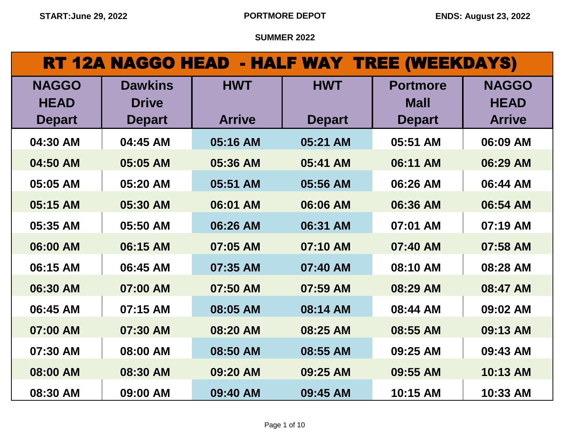| RT 12A NAGGO HEAD - HALF WAY TREE (WEEKDAYS) |                                |               |               |                                |                             |  |
|----------------------------------------------|--------------------------------|---------------|---------------|--------------------------------|-----------------------------|--|
| <b>NAGGO</b><br><b>HEAD</b>                  | <b>Dawkins</b><br><b>Drive</b> | <b>HWT</b>    | <b>HWT</b>    | <b>Portmore</b><br><b>Mall</b> | <b>NAGGO</b><br><b>HEAD</b> |  |
| <b>Depart</b>                                | <b>Depart</b>                  | <b>Arrive</b> | <b>Depart</b> | <b>Depart</b>                  | <b>Arrive</b>               |  |
| 04:30 AM                                     | 04:45 AM                       | 05:16 AM      | 05:21 AM      | 05:51 AM                       | 06:09 AM                    |  |
| 04:50 AM                                     | 05:05 AM                       | 05:36 AM      | 05:41 AM      | 06:11 AM                       | 06:29 AM                    |  |
| 05:05 AM                                     | 05:20 AM                       | 05:51 AM      | 05:56 AM      | 06:26 AM                       | 06:44 AM                    |  |
| 05:15 AM                                     | 05:30 AM                       | 06:01 AM      | 06:06 AM      | 06:36 AM                       | 06:54 AM                    |  |
| 05:35 AM                                     | 05:50 AM                       | 06:26 AM      | 06:31 AM      | 07:01 AM                       | 07:19 AM                    |  |
| 06:00 AM                                     | 06:15 AM                       | 07:05 AM      | 07:10 AM      | 07:40 AM                       | 07:58 AM                    |  |
| 06:15 AM                                     | 06:45 AM                       | 07:35 AM      | 07:40 AM      | 08:10 AM                       | 08:28 AM                    |  |
| 06:30 AM                                     | 07:00 AM                       | 07:50 AM      | 07:59 AM      | 08:29 AM                       | 08:47 AM                    |  |
| 06:45 AM                                     | 07:15 AM                       | 08:05 AM      | 08:14 AM      | 08:44 AM                       | 09:02 AM                    |  |
| 07:00 AM                                     | 07:30 AM                       | 08:20 AM      | 08:25 AM      | 08:55 AM                       | 09:13 AM                    |  |
| 07:30 AM                                     | 08:00 AM                       | 08:50 AM      | 08:55 AM      | 09:25 AM                       | 09:43 AM                    |  |
| 08:00 AM                                     | 08:30 AM                       | 09:20 AM      | 09:25 AM      | 09:55 AM                       | 10:13 AM                    |  |
| 08:30 AM                                     | 09:00 AM                       | 09:40 AM      | 09:45 AM      | 10:15 AM                       | 10:33 AM                    |  |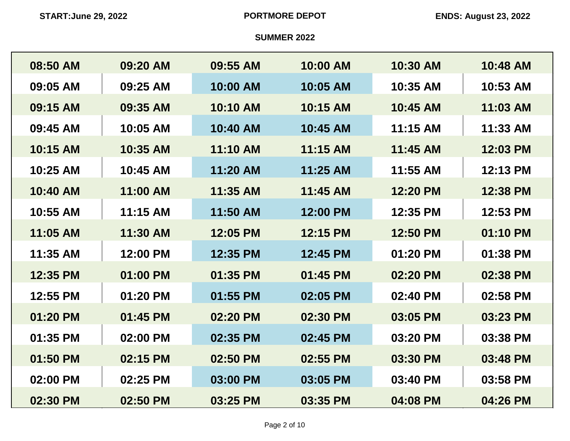| 08:50 AM | 09:20 AM | 09:55 AM | 10:00 AM | 10:30 AM | 10:48 AM |
|----------|----------|----------|----------|----------|----------|
| 09:05 AM | 09:25 AM | 10:00 AM | 10:05 AM | 10:35 AM | 10:53 AM |
| 09:15 AM | 09:35 AM | 10:10 AM | 10:15 AM | 10:45 AM | 11:03 AM |
| 09:45 AM | 10:05 AM | 10:40 AM | 10:45 AM | 11:15 AM | 11:33 AM |
| 10:15 AM | 10:35 AM | 11:10 AM | 11:15 AM | 11:45 AM | 12:03 PM |
| 10:25 AM | 10:45 AM | 11:20 AM | 11:25 AM | 11:55 AM | 12:13 PM |
| 10:40 AM | 11:00 AM | 11:35 AM | 11:45 AM | 12:20 PM | 12:38 PM |
| 10:55 AM | 11:15 AM | 11:50 AM | 12:00 PM | 12:35 PM | 12:53 PM |
| 11:05 AM | 11:30 AM | 12:05 PM | 12:15 PM | 12:50 PM | 01:10 PM |
| 11:35 AM | 12:00 PM | 12:35 PM | 12:45 PM | 01:20 PM | 01:38 PM |
| 12:35 PM | 01:00 PM | 01:35 PM | 01:45 PM | 02:20 PM | 02:38 PM |
| 12:55 PM | 01:20 PM | 01:55 PM | 02:05 PM | 02:40 PM | 02:58 PM |
| 01:20 PM | 01:45 PM | 02:20 PM | 02:30 PM | 03:05 PM | 03:23 PM |
| 01:35 PM | 02:00 PM | 02:35 PM | 02:45 PM | 03:20 PM | 03:38 PM |
| 01:50 PM | 02:15 PM | 02:50 PM | 02:55 PM | 03:30 PM | 03:48 PM |
| 02:00 PM | 02:25 PM | 03:00 PM | 03:05 PM | 03:40 PM | 03:58 PM |
| 02:30 PM | 02:50 PM | 03:25 PM | 03:35 PM | 04:08 PM | 04:26 PM |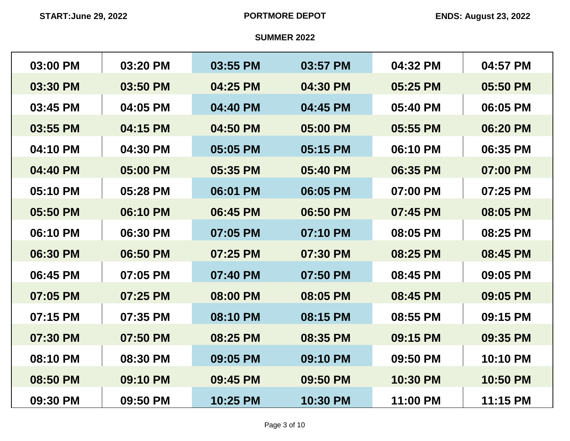| 03:00 PM | 03:20 PM | 03:55 PM | 03:57 PM | 04:32 PM | 04:57 PM |
|----------|----------|----------|----------|----------|----------|
| 03:30 PM | 03:50 PM | 04:25 PM | 04:30 PM | 05:25 PM | 05:50 PM |
| 03:45 PM | 04:05 PM | 04:40 PM | 04:45 PM | 05:40 PM | 06:05 PM |
| 03:55 PM | 04:15 PM | 04:50 PM | 05:00 PM | 05:55 PM | 06:20 PM |
| 04:10 PM | 04:30 PM | 05:05 PM | 05:15 PM | 06:10 PM | 06:35 PM |
| 04:40 PM | 05:00 PM | 05:35 PM | 05:40 PM | 06:35 PM | 07:00 PM |
| 05:10 PM | 05:28 PM | 06:01 PM | 06:05 PM | 07:00 PM | 07:25 PM |
| 05:50 PM | 06:10 PM | 06:45 PM | 06:50 PM | 07:45 PM | 08:05 PM |
| 06:10 PM | 06:30 PM | 07:05 PM | 07:10 PM | 08:05 PM | 08:25 PM |
| 06:30 PM | 06:50 PM | 07:25 PM | 07:30 PM | 08:25 PM | 08:45 PM |
| 06:45 PM | 07:05 PM | 07:40 PM | 07:50 PM | 08:45 PM | 09:05 PM |
| 07:05 PM | 07:25 PM | 08:00 PM | 08:05 PM | 08:45 PM | 09:05 PM |
| 07:15 PM | 07:35 PM | 08:10 PM | 08:15 PM | 08:55 PM | 09:15 PM |
| 07:30 PM | 07:50 PM | 08:25 PM | 08:35 PM | 09:15 PM | 09:35 PM |
| 08:10 PM | 08:30 PM | 09:05 PM | 09:10 PM | 09:50 PM | 10:10 PM |
| 08:50 PM | 09:10 PM | 09:45 PM | 09:50 PM | 10:30 PM | 10:50 PM |
| 09:30 PM | 09:50 PM | 10:25 PM | 10:30 PM | 11:00 PM | 11:15 PM |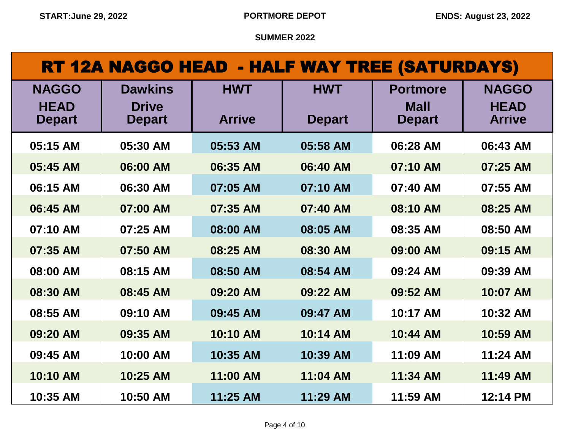# RT 12A NAGGO HEAD - HALF WAY TREE (SATURDAYS)

| <b>NAGGO</b><br><b>HEAD</b><br><b>Depart</b> | <b>Dawkins</b><br><b>Drive</b><br><b>Depart</b> | <b>HWT</b><br><b>Arrive</b> | <b>HWT</b><br><b>Depart</b> | <b>Portmore</b><br><b>Mall</b><br><b>Depart</b> | <b>NAGGO</b><br><b>HEAD</b><br><b>Arrive</b> |
|----------------------------------------------|-------------------------------------------------|-----------------------------|-----------------------------|-------------------------------------------------|----------------------------------------------|
| 05:15 AM                                     | 05:30 AM                                        | 05:53 AM                    | 05:58 AM                    | 06:28 AM                                        | 06:43 AM                                     |
| 05:45 AM                                     | 06:00 AM                                        | 06:35 AM                    | 06:40 AM                    | 07:10 AM                                        | 07:25 AM                                     |
| 06:15 AM                                     | 06:30 AM                                        | 07:05 AM                    | 07:10 AM                    | 07:40 AM                                        | 07:55 AM                                     |
| 06:45 AM                                     | 07:00 AM                                        | 07:35 AM                    | 07:40 AM                    | 08:10 AM                                        | 08:25 AM                                     |
| 07:10 AM                                     | 07:25 AM                                        | 08:00 AM                    | 08:05 AM                    | 08:35 AM                                        | 08:50 AM                                     |
| 07:35 AM                                     | 07:50 AM                                        | 08:25 AM                    | 08:30 AM                    | 09:00 AM                                        | 09:15 AM                                     |
| 08:00 AM                                     | 08:15 AM                                        | 08:50 AM                    | 08:54 AM                    | 09:24 AM                                        | 09:39 AM                                     |
| 08:30 AM                                     | 08:45 AM                                        | 09:20 AM                    | 09:22 AM                    | 09:52 AM                                        | 10:07 AM                                     |
| 08:55 AM                                     | 09:10 AM                                        | 09:45 AM                    | 09:47 AM                    | 10:17 AM                                        | 10:32 AM                                     |
| 09:20 AM                                     | 09:35 AM                                        | 10:10 AM                    | 10:14 AM                    | 10:44 AM                                        | 10:59 AM                                     |
| 09:45 AM                                     | 10:00 AM                                        | 10:35 AM                    | 10:39 AM                    | 11:09 AM                                        | 11:24 AM                                     |
| 10:10 AM                                     | 10:25 AM                                        | 11:00 AM                    | 11:04 AM                    | 11:34 AM                                        | 11:49 AM                                     |
| 10:35 AM                                     | 10:50 AM                                        | 11:25 AM                    | 11:29 AM                    | 11:59 AM                                        | 12:14 PM                                     |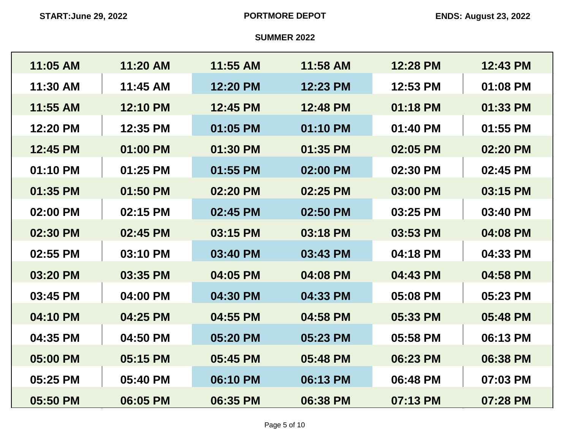| 11:05 AM | 11:20 AM | 11:55 AM | 11:58 AM | 12:28 PM | 12:43 PM |
|----------|----------|----------|----------|----------|----------|
| 11:30 AM | 11:45 AM | 12:20 PM | 12:23 PM | 12:53 PM | 01:08 PM |
| 11:55 AM | 12:10 PM | 12:45 PM | 12:48 PM | 01:18 PM | 01:33 PM |
| 12:20 PM | 12:35 PM | 01:05 PM | 01:10 PM | 01:40 PM | 01:55 PM |
| 12:45 PM | 01:00 PM | 01:30 PM | 01:35 PM | 02:05 PM | 02:20 PM |
| 01:10 PM | 01:25 PM | 01:55 PM | 02:00 PM | 02:30 PM | 02:45 PM |
| 01:35 PM | 01:50 PM | 02:20 PM | 02:25 PM | 03:00 PM | 03:15 PM |
| 02:00 PM | 02:15 PM | 02:45 PM | 02:50 PM | 03:25 PM | 03:40 PM |
| 02:30 PM | 02:45 PM | 03:15 PM | 03:18 PM | 03:53 PM | 04:08 PM |
| 02:55 PM | 03:10 PM | 03:40 PM | 03:43 PM | 04:18 PM | 04:33 PM |
| 03:20 PM | 03:35 PM | 04:05 PM | 04:08 PM | 04:43 PM | 04:58 PM |
| 03:45 PM | 04:00 PM | 04:30 PM | 04:33 PM | 05:08 PM | 05:23 PM |
| 04:10 PM | 04:25 PM | 04:55 PM | 04:58 PM | 05:33 PM | 05:48 PM |
| 04:35 PM | 04:50 PM | 05:20 PM | 05:23 PM | 05:58 PM | 06:13 PM |
| 05:00 PM | 05:15 PM | 05:45 PM | 05:48 PM | 06:23 PM | 06:38 PM |
| 05:25 PM | 05:40 PM | 06:10 PM | 06:13 PM | 06:48 PM | 07:03 PM |
| 05:50 PM | 06:05 PM | 06:35 PM | 06:38 PM | 07:13 PM | 07:28 PM |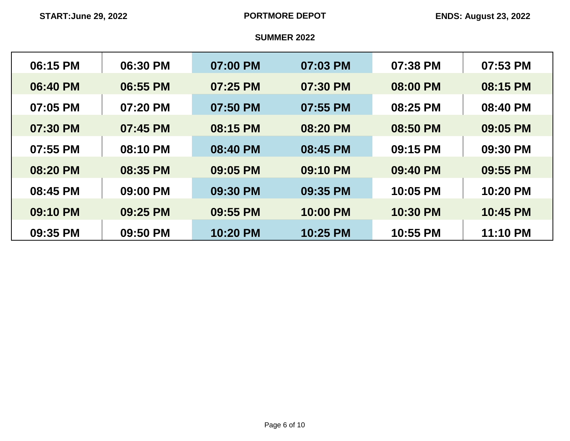| 06:15 PM | 06:30 PM | 07:00 PM | 07:03 PM | 07:38 PM | 07:53 PM |
|----------|----------|----------|----------|----------|----------|
| 06:40 PM | 06:55 PM | 07:25 PM | 07:30 PM | 08:00 PM | 08:15 PM |
| 07:05 PM | 07:20 PM | 07:50 PM | 07:55 PM | 08:25 PM | 08:40 PM |
| 07:30 PM | 07:45 PM | 08:15 PM | 08:20 PM | 08:50 PM | 09:05 PM |
| 07:55 PM | 08:10 PM | 08:40 PM | 08:45 PM | 09:15 PM | 09:30 PM |
| 08:20 PM | 08:35 PM | 09:05 PM | 09:10 PM | 09:40 PM | 09:55 PM |
| 08:45 PM | 09:00 PM | 09:30 PM | 09:35 PM | 10:05 PM | 10:20 PM |
| 09:10 PM | 09:25 PM | 09:55 PM | 10:00 PM | 10:30 PM | 10:45 PM |
| 09:35 PM | 09:50 PM | 10:20 PM | 10:25 PM | 10:55 PM | 11:10 PM |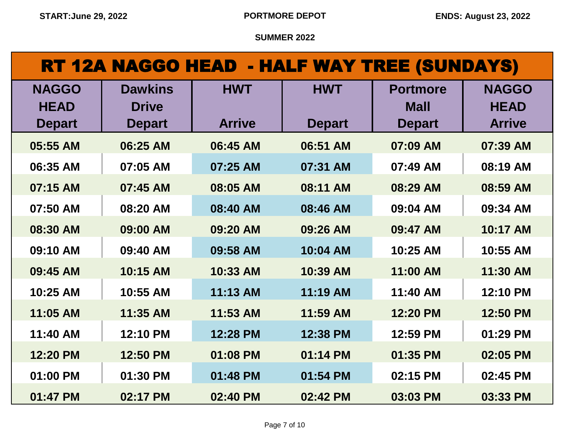| <b>RT 12A NAGGO HEAD - HALF WAY TREE (SUNDAYS)</b> |                                |               |               |                                |                             |  |
|----------------------------------------------------|--------------------------------|---------------|---------------|--------------------------------|-----------------------------|--|
| <b>NAGGO</b><br><b>HEAD</b>                        | <b>Dawkins</b><br><b>Drive</b> | <b>HWT</b>    | <b>HWT</b>    | <b>Portmore</b><br><b>Mall</b> | <b>NAGGO</b><br><b>HEAD</b> |  |
| <b>Depart</b>                                      | <b>Depart</b>                  | <b>Arrive</b> | <b>Depart</b> | <b>Depart</b>                  | <b>Arrive</b>               |  |
| 05:55 AM                                           | 06:25 AM                       | 06:45 AM      | 06:51 AM      | 07:09 AM                       | 07:39 AM                    |  |
| 06:35 AM                                           | 07:05 AM                       | 07:25 AM      | 07:31 AM      | 07:49 AM                       | 08:19 AM                    |  |
| 07:15 AM                                           | 07:45 AM                       | 08:05 AM      | 08:11 AM      | 08:29 AM                       | 08:59 AM                    |  |
| 07:50 AM                                           | 08:20 AM                       | 08:40 AM      | 08:46 AM      | 09:04 AM                       | 09:34 AM                    |  |
| 08:30 AM                                           | 09:00 AM                       | 09:20 AM      | 09:26 AM      | 09:47 AM                       | 10:17 AM                    |  |
| 09:10 AM                                           | 09:40 AM                       | 09:58 AM      | 10:04 AM      | 10:25 AM                       | 10:55 AM                    |  |
| 09:45 AM                                           | 10:15 AM                       | 10:33 AM      | 10:39 AM      | 11:00 AM                       | 11:30 AM                    |  |
| 10:25 AM                                           | 10:55 AM                       | 11:13 AM      | 11:19 AM      | 11:40 AM                       | 12:10 PM                    |  |
| 11:05 AM                                           | 11:35 AM                       | 11:53 AM      | 11:59 AM      | 12:20 PM                       | 12:50 PM                    |  |
| 11:40 AM                                           | 12:10 PM                       | 12:28 PM      | 12:38 PM      | 12:59 PM                       | 01:29 PM                    |  |
| 12:20 PM                                           | 12:50 PM                       | 01:08 PM      | 01:14 PM      | 01:35 PM                       | 02:05 PM                    |  |
| 01:00 PM                                           | 01:30 PM                       | 01:48 PM      | 01:54 PM      | 02:15 PM                       | 02:45 PM                    |  |

**01:47 PM 02:17 PM 02:40 PM 02:42 PM 03:03 PM 03:33 PM**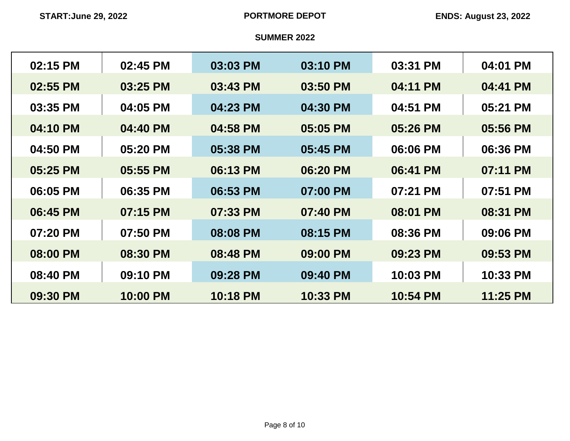| 02:15 PM | 02:45 PM | 03:03 PM | 03:10 PM | 03:31 PM | 04:01 PM |
|----------|----------|----------|----------|----------|----------|
| 02:55 PM | 03:25 PM | 03:43 PM | 03:50 PM | 04:11 PM | 04:41 PM |
| 03:35 PM | 04:05 PM | 04:23 PM | 04:30 PM | 04:51 PM | 05:21 PM |
| 04:10 PM | 04:40 PM | 04:58 PM | 05:05 PM | 05:26 PM | 05:56 PM |
| 04:50 PM | 05:20 PM | 05:38 PM | 05:45 PM | 06:06 PM | 06:36 PM |
| 05:25 PM | 05:55 PM | 06:13 PM | 06:20 PM | 06:41 PM | 07:11 PM |
| 06:05 PM | 06:35 PM | 06:53 PM | 07:00 PM | 07:21 PM | 07:51 PM |
| 06:45 PM | 07:15 PM | 07:33 PM | 07:40 PM | 08:01 PM | 08:31 PM |
| 07:20 PM | 07:50 PM | 08:08 PM | 08:15 PM | 08:36 PM | 09:06 PM |
| 08:00 PM | 08:30 PM | 08:48 PM | 09:00 PM | 09:23 PM | 09:53 PM |
| 08:40 PM | 09:10 PM | 09:28 PM | 09:40 PM | 10:03 PM | 10:33 PM |
| 09:30 PM | 10:00 PM | 10:18 PM | 10:33 PM | 10:54 PM | 11:25 PM |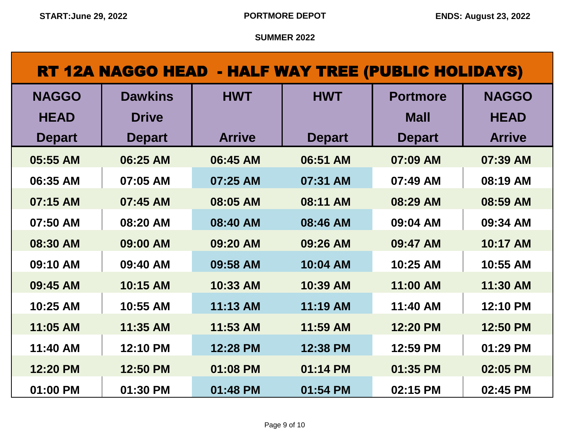| RT 12A NAGGO HEAD - HALF WAY TREE (PUBLIC HOLIDAYS) |                |               |               |                 |               |  |
|-----------------------------------------------------|----------------|---------------|---------------|-----------------|---------------|--|
| <b>NAGGO</b>                                        | <b>Dawkins</b> | <b>HWT</b>    | <b>HWT</b>    | <b>Portmore</b> | <b>NAGGO</b>  |  |
| <b>HEAD</b>                                         | <b>Drive</b>   |               |               | <b>Mall</b>     | <b>HEAD</b>   |  |
| <b>Depart</b>                                       | <b>Depart</b>  | <b>Arrive</b> | <b>Depart</b> | <b>Depart</b>   | <b>Arrive</b> |  |
| 05:55 AM                                            | 06:25 AM       | 06:45 AM      | 06:51 AM      | 07:09 AM        | 07:39 AM      |  |
| 06:35 AM                                            | 07:05 AM       | 07:25 AM      | 07:31 AM      | 07:49 AM        | 08:19 AM      |  |
| 07:15 AM                                            | 07:45 AM       | 08:05 AM      | 08:11 AM      | 08:29 AM        | 08:59 AM      |  |
| 07:50 AM                                            | 08:20 AM       | 08:40 AM      | 08:46 AM      | 09:04 AM        | 09:34 AM      |  |
| 08:30 AM                                            | 09:00 AM       | 09:20 AM      | 09:26 AM      | 09:47 AM        | 10:17 AM      |  |
| 09:10 AM                                            | 09:40 AM       | 09:58 AM      | 10:04 AM      | 10:25 AM        | 10:55 AM      |  |
| 09:45 AM                                            | 10:15 AM       | 10:33 AM      | 10:39 AM      | 11:00 AM        | 11:30 AM      |  |
| 10:25 AM                                            | 10:55 AM       | 11:13 AM      | 11:19 AM      | 11:40 AM        | 12:10 PM      |  |
| 11:05 AM                                            | 11:35 AM       | 11:53 AM      | 11:59 AM      | 12:20 PM        | 12:50 PM      |  |
| 11:40 AM                                            | 12:10 PM       | 12:28 PM      | 12:38 PM      | 12:59 PM        | 01:29 PM      |  |
| 12:20 PM                                            | 12:50 PM       | 01:08 PM      | 01:14 PM      | 01:35 PM        | 02:05 PM      |  |
| 01:00 PM                                            | 01:30 PM       | 01:48 PM      | 01:54 PM      | 02:15 PM        | 02:45 PM      |  |